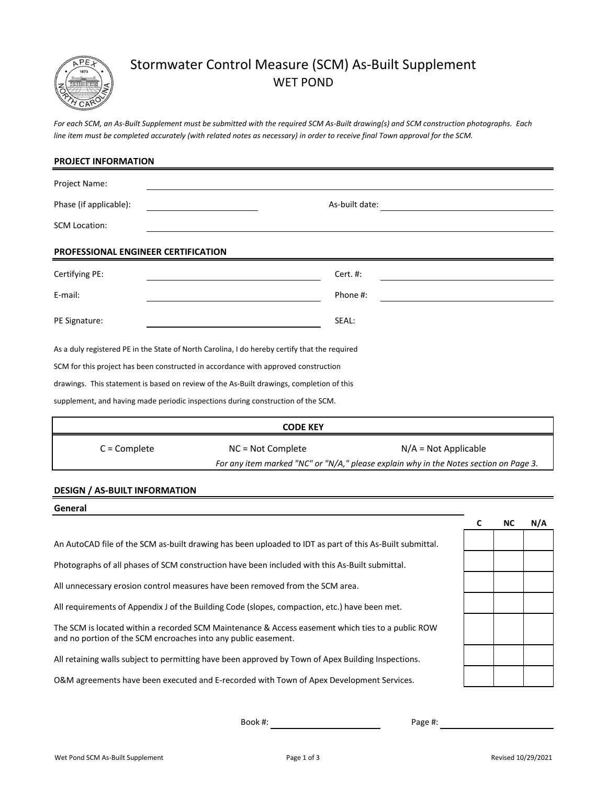

# Stormwater Control Measure (SCM) As-Built Supplement WET POND

*For each SCM, an As-Built Supplement must be submitted with the required SCM As-Built drawing(s) and SCM construction photographs. Each line item must be completed accurately (with related notes as necessary) in order to receive final Town approval for the SCM.*

| <b>PROJECT INFORMATION</b>           |                                                                                               |  |  |  |  |  |
|--------------------------------------|-----------------------------------------------------------------------------------------------|--|--|--|--|--|
| Project Name:                        |                                                                                               |  |  |  |  |  |
| Phase (if applicable):               | As-built date:                                                                                |  |  |  |  |  |
| <b>SCM Location:</b>                 |                                                                                               |  |  |  |  |  |
| PROFESSIONAL ENGINEER CERTIFICATION  |                                                                                               |  |  |  |  |  |
| Certifying PE:                       | Cert. #:                                                                                      |  |  |  |  |  |
| E-mail:                              | Phone #:                                                                                      |  |  |  |  |  |
| PE Signature:                        | SEAL:                                                                                         |  |  |  |  |  |
|                                      | As a duly registered PE in the State of North Carolina, I do hereby certify that the required |  |  |  |  |  |
|                                      | SCM for this project has been constructed in accordance with approved construction            |  |  |  |  |  |
|                                      | drawings. This statement is based on review of the As-Built drawings, completion of this      |  |  |  |  |  |
|                                      | supplement, and having made periodic inspections during construction of the SCM.              |  |  |  |  |  |
| <b>CODE KEY</b>                      |                                                                                               |  |  |  |  |  |
| $C =$ Complete                       | $N/A = Not Applicable$<br>NC = Not Complete                                                   |  |  |  |  |  |
|                                      | For any item marked "NC" or "N/A," please explain why in the Notes section on Page 3.         |  |  |  |  |  |
| <b>DESIGN / AS-BUILT INFORMATION</b> |                                                                                               |  |  |  |  |  |
|                                      |                                                                                               |  |  |  |  |  |

#### **General**

An AutoCAD file of the SCM as-built drawing has been uploaded to IDT as part of this As-Built submittal.

Photographs of all phases of SCM construction have been included with this As-Built submittal.

All unnecessary erosion control measures have been removed from the SCM area.

All requirements of Appendix J of the Building Code (slopes, compaction, etc.) have been met.

The SCM is located within a recorded SCM Maintenance & Access easement which ties to a public ROW and no portion of the SCM encroaches into any public easement.

All retaining walls subject to permitting have been approved by Town of Apex Building Inspections.

O&M agreements have been executed and E-recorded with Town of Apex Development Services.

**C NC N/A**

Book #:

Page #: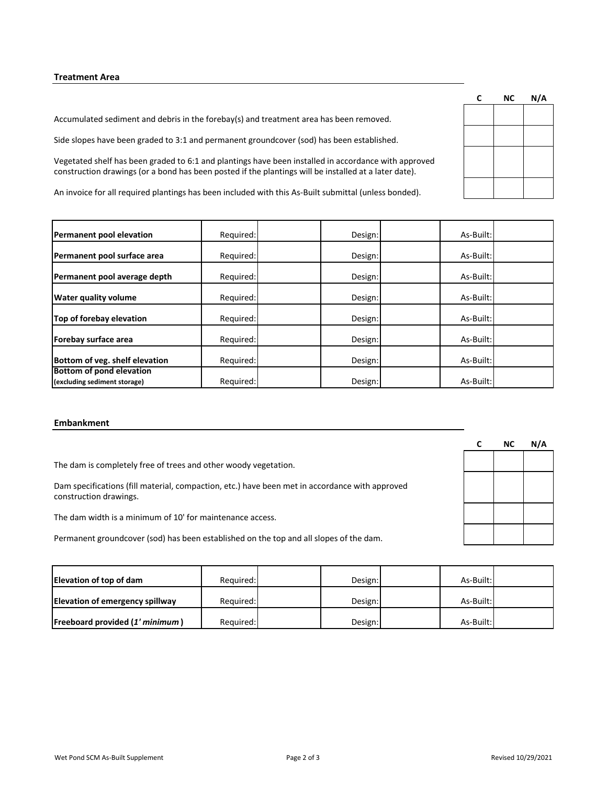## **Treatment Area**

Accumulated sediment and debris in the forebay(s) and treatment area has been removed.

Side slopes have been graded to 3:1 and permanent groundcover (sod) has been established.

Vegetated shelf has been graded to 6:1 and plantings have been installed in accordance with approved construction drawings (or a bond has been posted if the plantings will be installed at a later date).

An invoice for all required plantings has been included with this As-Built submittal (unless bonded).

| Permanent pool elevation                                 | Required: | Design: | As-Built: |  |
|----------------------------------------------------------|-----------|---------|-----------|--|
| Permanent pool surface area                              | Required: | Design: | As-Built: |  |
| Permanent pool average depth                             | Required: | Design: | As-Built: |  |
| <b>Water quality volume</b>                              | Required: | Design: | As-Built: |  |
| Top of forebay elevation                                 | Required: | Design: | As-Built: |  |
| Forebay surface area                                     | Required: | Design: | As-Built: |  |
| Bottom of veg. shelf elevation                           | Required: | Design: | As-Built: |  |
| Bottom of pond elevation<br>(excluding sediment storage) | Required: | Design: | As-Built: |  |

#### **Embankment**

The dam is completely free of trees and other woody vegetation.

Dam specifications (fill material, compaction, etc.) have been met in accordance with approved construction drawings.

The dam width is a minimum of 10' for maintenance access.

Permanent groundcover (sod) has been established on the top and all slopes of the dam.

| Elevation of top of dam                | Required: | Design: | As-Built: |  |
|----------------------------------------|-----------|---------|-----------|--|
| <b>Elevation of emergency spillway</b> | Required: | Design: | As-Built: |  |
| Freeboard provided (1' minimum)        | Required: | Design: | As-Built: |  |

| C | <b>NC</b> | N/A |
|---|-----------|-----|
|   |           |     |
|   |           |     |
|   |           |     |
|   |           |     |
|   |           |     |
|   |           |     |

| C | <b>NC</b> | N/A |
|---|-----------|-----|
|   |           |     |
|   |           |     |
|   |           |     |
|   |           |     |
|   |           |     |
|   |           |     |